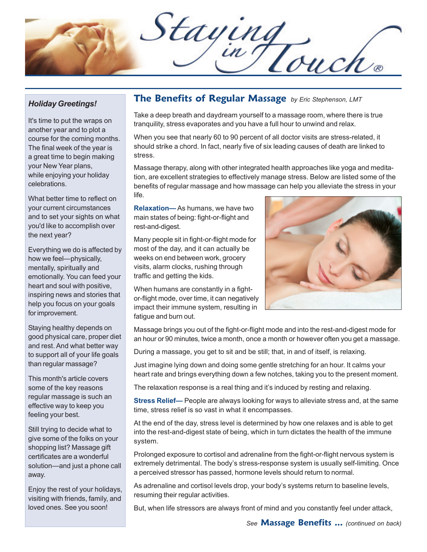Staying

## *Holiday Greetings!*

It's time to put the wraps on another year and to plot a course for the coming months. The final week of the year is a great time to begin making your New Year plans, while enjoying your holiday celebrations.

What better time to reflect on your current circumstances and to set your sights on what you'd like to accomplish over the next year?

Everything we do is affected by how we feel—physically, mentally, spiritually and emotionally. You can feed your heart and soul with positive, inspiring news and stories that help you focus on your goals for improvement.

Staying healthy depends on good physical care, proper diet and rest. And what better way to support all of your life goals than regular massage?

This month's article covers some of the key reasons regular massage is such an effective way to keep you feeling your best.

Still trying to decide what to give some of the folks on your shopping list? Massage gift certificates are a wonderful solution—and just a phone call away.

Enjoy the rest of your holidays, visiting with friends, family, and loved ones. See you soon!

## **The Benefits of Regular Massage** *by Eric Stephenson, LMT*

Take a deep breath and daydream yourself to a massage room, where there is true tranquility, stress evaporates and you have a full hour to unwind and relax.

When you see that nearly 60 to 90 percent of all doctor visits are stress-related, it should strike a chord. In fact, nearly five of six leading causes of death are linked to stress.

Massage therapy, along with other integrated health approaches like yoga and meditation, are excellent strategies to effectively manage stress. Below are listed some of the benefits of regular massage and how massage can help you alleviate the stress in your life.

**Relaxation—** As humans, we have two main states of being: fight-or-flight and rest-and-digest.

Many people sit in fight-or-flight mode for most of the day, and it can actually be weeks on end between work, grocery visits, alarm clocks, rushing through traffic and getting the kids.

When humans are constantly in a fightor-flight mode, over time, it can negatively impact their immune system, resulting in fatigue and burn out.



Massage brings you out of the fight-or-flight mode and into the rest-and-digest mode for an hour or 90 minutes, twice a month, once a month or however often you get a massage.

During a massage, you get to sit and be still; that, in and of itself, is relaxing.

Just imagine lying down and doing some gentle stretching for an hour. It calms your heart rate and brings everything down a few notches, taking you to the present moment.

The relaxation response is a real thing and it's induced by resting and relaxing.

**Stress Relief—** People are always looking for ways to alleviate stress and, at the same time, stress relief is so vast in what it encompasses.

At the end of the day, stress level is determined by how one relaxes and is able to get into the rest-and-digest state of being, which in turn dictates the health of the immune system.

Prolonged exposure to cortisol and adrenaline from the fight-or-flight nervous system is extremely detrimental. The body's stress-response system is usually self-limiting. Once a perceived stressor has passed, hormone levels should return to normal.

As adrenaline and cortisol levels drop, your body's systems return to baseline levels, resuming their regular activities.

But, when life stressors are always front of mind and you constantly feel under attack,